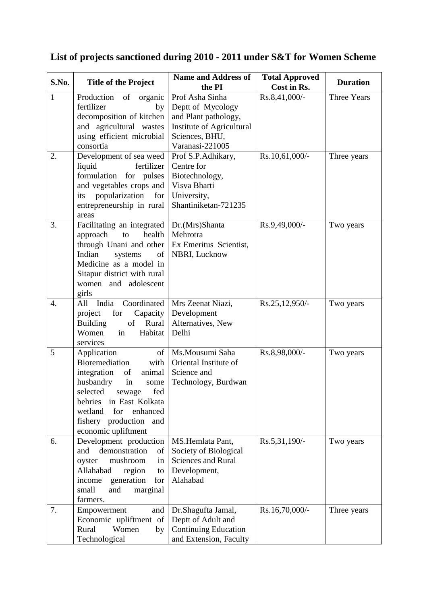| S.No.        | <b>Title of the Project</b>                                                                                                                                                                                                                        | <b>Name and Address of</b><br>the PI                                                                                           | <b>Total Approved</b><br>Cost in Rs. | <b>Duration</b>    |
|--------------|----------------------------------------------------------------------------------------------------------------------------------------------------------------------------------------------------------------------------------------------------|--------------------------------------------------------------------------------------------------------------------------------|--------------------------------------|--------------------|
| $\mathbf{1}$ | Production of<br>organic<br>fertilizer<br>by<br>decomposition of kitchen<br>and agricultural wastes<br>using efficient microbial<br>consortia                                                                                                      | Prof Asha Sinha<br>Deptt of Mycology<br>and Plant pathology,<br>Institute of Agricultural<br>Sciences, BHU,<br>Varanasi-221005 | Rs.8,41,000/-                        | <b>Three Years</b> |
| 2.           | Development of sea weed<br>liquid<br>fertilizer<br>formulation for pulses<br>and vegetables crops and<br>popularization<br>its<br>for<br>entrepreneurship in rural<br>areas                                                                        | Prof S.P.Adhikary,<br>Centre for<br>Biotechnology,<br>Visva Bharti<br>University,<br>Shantiniketan-721235                      | Rs.10,61,000/-                       | Three years        |
| 3.           | Facilitating an integrated<br>health<br>approach<br>to<br>through Unani and other<br>Indian<br>systems<br>of<br>Medicine as a model in<br>Sitapur district with rural<br>women and adolescent<br>girls                                             | Dr.(Mrs)Shanta<br>Mehrotra<br>Ex Emeritus Scientist,<br>NBRI, Lucknow                                                          | Rs.9,49,000/-                        | Two years          |
| 4.           | All India<br>Coordinated<br>for<br>Capacity<br>project<br>Rural<br><b>Building</b><br>of<br>Women<br>in<br>Habitat<br>services                                                                                                                     | Mrs Zeenat Niazi,<br>Development<br>Alternatives, New<br>Delhi                                                                 | Rs.25,12,950/-                       | Two years          |
| 5            | of<br>Application<br>Bioremediation<br>with<br>integration<br>animal<br>of<br>husbandry<br>in<br>some<br>fed<br>selected<br>sewage<br>behries<br>in East Kolkata<br>wetland<br>for<br>enhanced<br>fishery production<br>and<br>economic upliftment | Ms.Mousumi Saha<br>Oriental Institute of<br>Science and<br>Technology, Burdwan                                                 | Rs.8,98,000/-                        | Two years          |
| 6.           | Development production<br>demonstration<br>of<br>and<br>mushroom<br>oyster<br>in<br>Allahabad<br>region<br>to<br>generation<br>income<br>for<br>small<br>and<br>marginal<br>farmers.                                                               | MS.Hemlata Pant,<br>Society of Biological<br><b>Sciences and Rural</b><br>Development,<br>Alahabad                             | $Rs.5,31,190/-$                      | Two years          |
| 7.           | Empowerment<br>and<br>Economic upliftment of<br>Rural<br>Women<br>by<br>Technological                                                                                                                                                              | Dr.Shagufta Jamal,<br>Deptt of Adult and<br><b>Continuing Education</b><br>and Extension, Faculty                              | Rs.16,70,000/-                       | Three years        |

## **List of projects sanctioned during 2010 - 2011 under S&T for Women Scheme**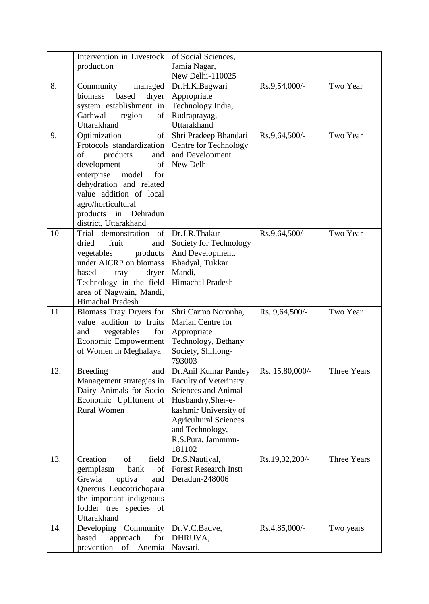|     | Intervention in Livestock    | of Social Sciences,                            |                 |                    |
|-----|------------------------------|------------------------------------------------|-----------------|--------------------|
|     | production                   | Jamia Nagar,                                   |                 |                    |
|     |                              | New Delhi-110025                               |                 |                    |
| 8.  | Community<br>managed         | Dr.H.K.Bagwari                                 | Rs.9,54,000/-   | Two Year           |
|     | biomass<br>based<br>dryer    | Appropriate                                    |                 |                    |
|     | system establishment in      | Technology India,                              |                 |                    |
|     | Garhwal<br>region<br>of      | Rudraprayag,                                   |                 |                    |
|     | Uttarakhand                  | Uttarakhand                                    |                 |                    |
| 9.  | Optimization<br>of           | Shri Pradeep Bhandari                          | $Rs.9,64,500/-$ | Two Year           |
|     | Protocols standardization    | Centre for Technology                          |                 |                    |
|     | of<br>products<br>and        | and Development                                |                 |                    |
|     | development<br>of            | New Delhi                                      |                 |                    |
|     | enterprise<br>model<br>for   |                                                |                 |                    |
|     | dehydration and related      |                                                |                 |                    |
|     | value addition of local      |                                                |                 |                    |
|     | agro/horticultural           |                                                |                 |                    |
|     | products in Dehradun         |                                                |                 |                    |
|     | district, Uttarakhand        |                                                |                 |                    |
| 10  | demonstration<br>of<br>Trial | Dr.J.R.Thakur                                  | $Rs.9,64,500/-$ | Two Year           |
|     | dried<br>fruit<br>and        | Society for Technology                         |                 |                    |
|     | vegetables<br>products       | And Development,                               |                 |                    |
|     | under AICRP on biomass       | Bhadyal, Tukkar                                |                 |                    |
|     | based<br>dryer<br>tray       | Mandi,                                         |                 |                    |
|     | Technology in the field      | Himachal Pradesh                               |                 |                    |
|     | area of Nagwain, Mandi,      |                                                |                 |                    |
|     | Himachal Pradesh             |                                                |                 |                    |
| 11. | Biomass Tray Dryers for      | Shri Carmo Noronha,                            | Rs. 9,64,500/-  | Two Year           |
|     | value addition to fruits     | Marian Centre for                              |                 |                    |
|     | vegetables<br>for<br>and     | Appropriate                                    |                 |                    |
|     | Economic Empowerment         | Technology, Bethany                            |                 |                    |
|     | of Women in Meghalaya        | Society, Shillong-                             |                 |                    |
|     |                              | 793003                                         |                 |                    |
| 12  | <b>Breeding</b><br>and       | Dr. Anil Kumar Pandey                          | Rs. 15,80,000/- | <b>Three Years</b> |
|     | Management strategies in     | <b>Faculty of Veterinary</b>                   |                 |                    |
|     | Dairy Animals for Socio      | <b>Sciences and Animal</b>                     |                 |                    |
|     | Economic Upliftment of       | Husbandry, Sher-e-                             |                 |                    |
|     | <b>Rural Women</b>           | kashmir University of                          |                 |                    |
|     |                              | <b>Agricultural Sciences</b>                   |                 |                    |
|     |                              | and Technology,                                |                 |                    |
|     |                              |                                                |                 |                    |
|     |                              | R.S.Pura, Jammmu-                              |                 |                    |
|     |                              | 181102                                         |                 |                    |
| 13. | Creation<br>of<br>field      | Dr.S.Nautiyal,<br><b>Forest Research Instt</b> | Rs.19,32,200/-  | <b>Three Years</b> |
|     | germplasm<br>bank<br>of      |                                                |                 |                    |
|     | Grewia<br>optiva<br>and      | Deradun-248006                                 |                 |                    |
|     | Quercus Leucotrichopara      |                                                |                 |                    |
|     | the important indigenous     |                                                |                 |                    |
|     | fodder tree species of       |                                                |                 |                    |
|     | Uttarakhand                  |                                                |                 |                    |
| 14. | Developing Community         | Dr.V.C.Badve,                                  | $Rs.4,85,000/-$ | Two years          |
|     | approach<br>based<br>for     | DHRUVA,                                        |                 |                    |
|     | prevention<br>of Anemia      | Navsari,                                       |                 |                    |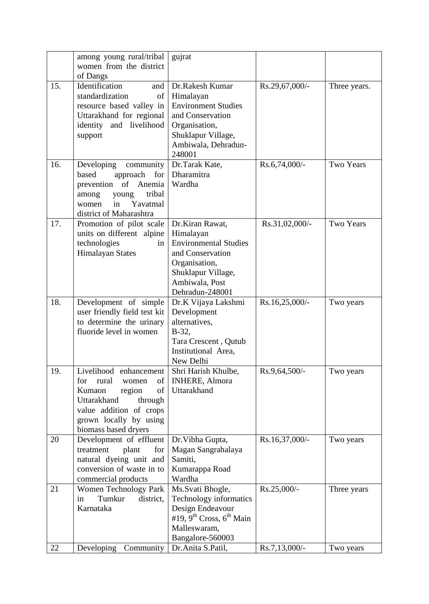|     | among young rural/tribal                            | gujrat                                           |                 |                  |
|-----|-----------------------------------------------------|--------------------------------------------------|-----------------|------------------|
|     | women from the district                             |                                                  |                 |                  |
|     | of Dangs                                            |                                                  |                 |                  |
| 15. | Identification<br>and                               | Dr.Rakesh Kumar                                  | Rs.29,67,000/-  | Three years.     |
|     | standardization<br>of                               | Himalayan                                        |                 |                  |
|     | resource based valley in                            | <b>Environment Studies</b>                       |                 |                  |
|     | Uttarakhand for regional                            | and Conservation                                 |                 |                  |
|     | identity and livelihood                             | Organisation,                                    |                 |                  |
|     | support                                             | Shuklapur Village,                               |                 |                  |
|     |                                                     | Ambiwala, Dehradun-                              |                 |                  |
|     |                                                     | 248001                                           |                 |                  |
| 16. | Developing<br>community                             | Dr.Tarak Kate,                                   | $Rs.6,74,000/-$ | <b>Two Years</b> |
|     | based<br>approach<br>for                            | Dharamitra                                       |                 |                  |
|     | Anemia<br>of<br>prevention                          | Wardha                                           |                 |                  |
|     | tribal<br>among<br>young                            |                                                  |                 |                  |
|     | in<br>Yavatmal<br>women                             |                                                  |                 |                  |
|     | district of Maharashtra                             |                                                  |                 |                  |
| 17. | Promotion of pilot scale                            | Dr.Kiran Rawat,                                  | Rs.31,02,000/-  | <b>Two Years</b> |
|     | units on different alpine                           | Himalayan                                        |                 |                  |
|     | technologies<br>in                                  | <b>Environmental Studies</b>                     |                 |                  |
|     | <b>Himalayan States</b>                             | and Conservation                                 |                 |                  |
|     |                                                     | Organisation,                                    |                 |                  |
|     |                                                     | Shuklapur Village,                               |                 |                  |
|     |                                                     | Ambiwala, Post                                   |                 |                  |
|     |                                                     | Dehradun-248001                                  |                 |                  |
| 18. | Development of simple                               | Dr.K Vijaya Lakshmi                              | Rs.16,25,000/-  | Two years        |
|     | user friendly field test kit                        | Development                                      |                 |                  |
|     | to determine the urinary<br>fluoride level in women | alternatives,<br>$B-32,$                         |                 |                  |
|     |                                                     | Tara Crescent, Qutub                             |                 |                  |
|     |                                                     | Institutional Area,                              |                 |                  |
|     |                                                     | New Delhi                                        |                 |                  |
| 19  | Livelihood enhancement                              | Shri Harish Khulbe.                              | $Rs.9,64,500/-$ | Two years        |
|     | for<br>rural<br>women<br>of                         | <b>INHERE, Almora</b>                            |                 |                  |
|     | of<br>Kumaon<br>region                              | Uttarakhand                                      |                 |                  |
|     | Uttarakhand<br>through                              |                                                  |                 |                  |
|     | value addition of crops                             |                                                  |                 |                  |
|     | grown locally by using                              |                                                  |                 |                  |
|     | biomass based dryers                                |                                                  |                 |                  |
| 20  | Development of effluent                             | Dr. Vibha Gupta,                                 | Rs.16,37,000/-  | Two years        |
|     | treatment<br>plant<br>for                           | Magan Sangrahalaya                               |                 |                  |
|     | natural dyeing unit and                             | Samiti,                                          |                 |                  |
|     | conversion of waste in to                           | Kumarappa Road                                   |                 |                  |
|     | commercial products                                 | Wardha                                           |                 |                  |
| 21  | Women Technology Park                               | Ms.Svati Bhogle,                                 | Rs.25,000/-     | Three years      |
|     | Tumkur<br>in<br>district,                           | Technology informatics                           |                 |                  |
|     | Karnataka                                           | Design Endeavour                                 |                 |                  |
|     |                                                     | #19, 9 <sup>th</sup> Cross, 6 <sup>th</sup> Main |                 |                  |
|     |                                                     | Malleswaram,                                     |                 |                  |
|     |                                                     | Bangalore-560003                                 |                 |                  |
| 22  | Developing<br>Community                             | Dr.Anita S.Patil,                                | Rs.7,13,000/-   | Two years        |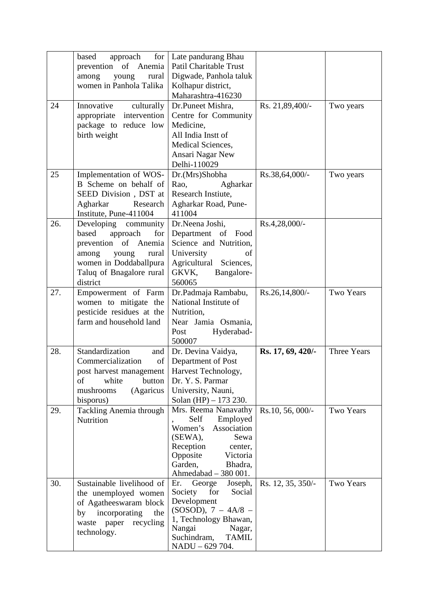|     | based<br>approach<br>for <sub>1</sub>         | Late pandurang Bhau                             |                   |                  |
|-----|-----------------------------------------------|-------------------------------------------------|-------------------|------------------|
|     | prevention of Anemia                          | Patil Charitable Trust                          |                   |                  |
|     | among<br>young<br>rural                       | Digwade, Panhola taluk                          |                   |                  |
|     | women in Panhola Talika                       | Kolhapur district,                              |                   |                  |
|     |                                               | Maharashtra-416230                              |                   |                  |
|     |                                               |                                                 |                   |                  |
| 24  | Innovative<br>culturally                      | Dr.Puneet Mishra,                               | Rs. 21,89,400/-   | Two years        |
|     | intervention<br>appropriate                   | Centre for Community                            |                   |                  |
|     | package to reduce low                         | Medicine,                                       |                   |                  |
|     | birth weight                                  | All India Instt of                              |                   |                  |
|     |                                               | Medical Sciences,                               |                   |                  |
|     |                                               | Ansari Nagar New                                |                   |                  |
|     |                                               | Delhi-110029                                    |                   |                  |
| 25  | Implementation of WOS-                        | Dr.(Mrs)Shobha                                  | Rs.38,64,000/-    | Two years        |
|     | B Scheme on behalf of                         | Rao,<br>Agharkar                                |                   |                  |
|     | SEED Division, DST at                         | Research Instiute,                              |                   |                  |
|     | Agharkar<br>Research                          | Agharkar Road, Pune-                            |                   |                  |
|     | Institute, Pune-411004                        | 411004                                          |                   |                  |
| 26. | Developing community                          | Dr.Neena Joshi,                                 | $Rs.4,28,000/$ -  |                  |
|     | based<br>approach<br>for                      | Department of Food                              |                   |                  |
|     | prevention of Anemia                          | Science and Nutrition,                          |                   |                  |
|     | among<br>young<br>rural                       | University<br>of                                |                   |                  |
|     | women in Doddaballpura                        |                                                 |                   |                  |
|     |                                               | Agricultural Sciences,                          |                   |                  |
|     | Taluq of Bnagalore rural                      | GKVK,<br>Bangalore-                             |                   |                  |
|     | district                                      | 560065                                          |                   |                  |
| 27. | Empowerment of Farm                           | Dr.Padmaja Rambabu,                             | $Rs.26,14,800/$ - | <b>Two Years</b> |
|     | women to mitigate the                         | National Institute of                           |                   |                  |
|     | pesticide residues at the                     | Nutrition,                                      |                   |                  |
|     | farm and household land                       | Near Jamia Osmania,                             |                   |                  |
|     |                                               | Hyderabad-<br>Post                              |                   |                  |
|     |                                               | 500007                                          |                   |                  |
| 28. | Standardization<br>and                        | Dr. Devina Vaidya,                              | Rs. 17, 69, 420/- | Three Years      |
|     | Commercialization<br>of                       | Department of Post                              |                   |                  |
|     | post harvest management   Harvest Technology, |                                                 |                   |                  |
|     | of<br>white<br>button                         | Dr. Y. S. Parmar                                |                   |                  |
|     | (Agaricus<br>mushrooms                        | University, Nauni,                              |                   |                  |
|     | bisporus)                                     | Solan (HP) $- 173$ 230.                         |                   |                  |
| 29. | Tackling Anemia through                       | Mrs. Reema Nanavathy                            | Rs.10, 56, 000/-  | <b>Two Years</b> |
|     | Nutrition                                     | Employed<br>Self                                |                   |                  |
|     |                                               | Women's<br>Association                          |                   |                  |
|     |                                               | $(SEWA)$ ,<br>Sewa                              |                   |                  |
|     |                                               | Reception<br>center,                            |                   |                  |
|     |                                               | Opposite<br>Victoria                            |                   |                  |
|     |                                               | Garden,<br>Bhadra,                              |                   |                  |
|     |                                               | Ahmedabad - 380 001.                            |                   |                  |
| 30. | Sustainable livelihood of                     | Joseph,<br>Er.<br>George                        | Rs. 12, 35, 350/- | Two Years        |
|     | the unemployed women                          | Society<br>for<br>Social                        |                   |                  |
|     | of Agatheeswaram block                        | Development                                     |                   |                  |
|     | incorporating<br>the<br>by                    | $(SOSOD)$ , 7 – 4A/8 –                          |                   |                  |
|     | waste paper recycling                         | 1, Technology Bhawan,                           |                   |                  |
|     | technology.                                   | Nangai<br>Nagar,<br>Suchindram,<br><b>TAMIL</b> |                   |                  |
|     |                                               |                                                 |                   |                  |
|     |                                               | NADU - 629 704.                                 |                   |                  |